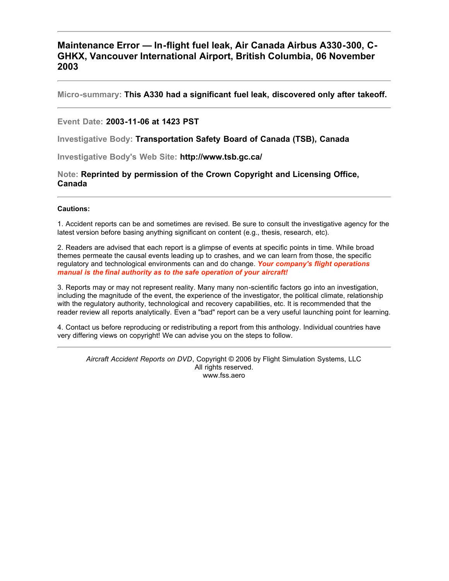#### **Maintenance Error — In-flight fuel leak, Air Canada Airbus A330-300, C-GHKX, Vancouver International Airport, British Columbia, 06 November 2003**

**Micro-summary: This A330 had a significant fuel leak, discovered only after takeoff.**

#### **Event Date: 2003-11-06 at 1423 PST**

**Investigative Body: Transportation Safety Board of Canada (TSB), Canada**

**Investigative Body's Web Site: http://www.tsb.gc.ca/**

**Note: Reprinted by permission of the Crown Copyright and Licensing Office, Canada**

#### **Cautions:**

1. Accident reports can be and sometimes are revised. Be sure to consult the investigative agency for the latest version before basing anything significant on content (e.g., thesis, research, etc).

2. Readers are advised that each report is a glimpse of events at specific points in time. While broad themes permeate the causal events leading up to crashes, and we can learn from those, the specific regulatory and technological environments can and do change. *Your company's flight operations manual is the final authority as to the safe operation of your aircraft!*

3. Reports may or may not represent reality. Many many non-scientific factors go into an investigation, including the magnitude of the event, the experience of the investigator, the political climate, relationship with the regulatory authority, technological and recovery capabilities, etc. It is recommended that the reader review all reports analytically. Even a "bad" report can be a very useful launching point for learning.

4. Contact us before reproducing or redistributing a report from this anthology. Individual countries have very differing views on copyright! We can advise you on the steps to follow.

*Aircraft Accident Reports on DVD*, Copyright © 2006 by Flight Simulation Systems, LLC All rights reserved. www.fss.aero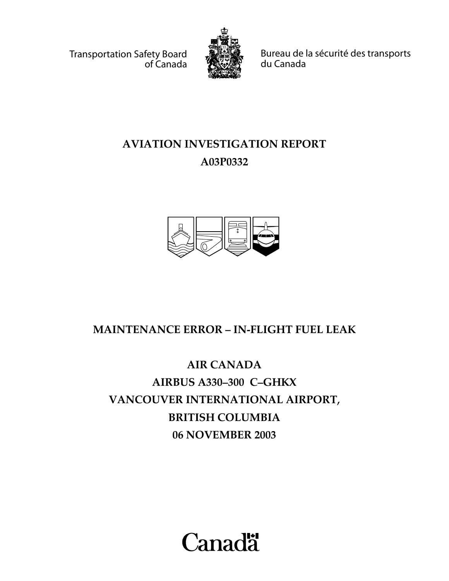Transportation Safety Board of Canada



Bureau de la sécurité des transports du Canada

# **AVIATION INVESTIGATION REPORT A03P0332**



## **MAINTENANCE ERROR – IN-FLIGHT FUEL LEAK**

# **AIR CANADA AIRBUS A330–300 C–GHKX VANCOUVER INTERNATIONAL AIRPORT, BRITISH COLUMBIA 06 NOVEMBER 2003**

**Canadä**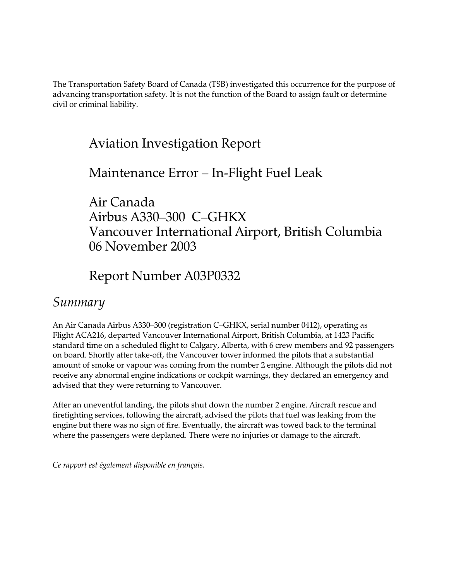The Transportation Safety Board of Canada (TSB) investigated this occurrence for the purpose of advancing transportation safety. It is not the function of the Board to assign fault or determine civil or criminal liability.

# Aviation Investigation Report

#### Maintenance Error – In-Flight Fuel Leak

Air Canada Airbus A330–300 C–GHKX Vancouver International Airport, British Columbia 06 November 2003

## Report Number A03P0332

#### *Summary*

An Air Canada Airbus A330–300 (registration C–GHKX, serial number 0412), operating as Flight ACA216, departed Vancouver International Airport, British Columbia, at 1423 Pacific standard time on a scheduled flight to Calgary, Alberta, with 6 crew members and 92 passengers on board. Shortly after take-off, the Vancouver tower informed the pilots that a substantial amount of smoke or vapour was coming from the number 2 engine. Although the pilots did not receive any abnormal engine indications or cockpit warnings, they declared an emergency and advised that they were returning to Vancouver.

After an uneventful landing, the pilots shut down the number 2 engine. Aircraft rescue and firefighting services, following the aircraft, advised the pilots that fuel was leaking from the engine but there was no sign of fire. Eventually, the aircraft was towed back to the terminal where the passengers were deplaned. There were no injuries or damage to the aircraft.

*Ce rapport est également disponible en français.*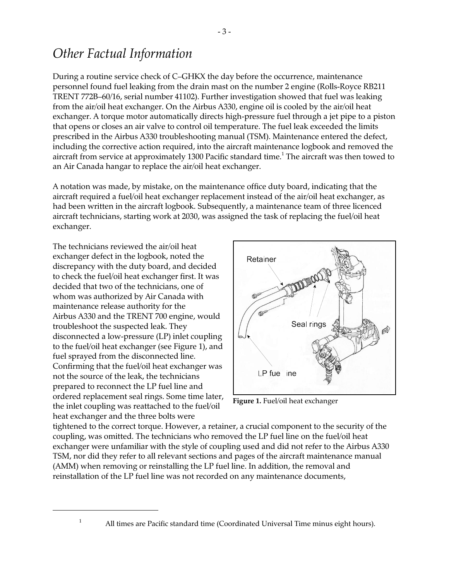## *Other Factual Information*

During a routine service check of C–GHKX the day before the occurrence, maintenance personnel found fuel leaking from the drain mast on the number 2 engine (Rolls-Royce RB211 TRENT 772B–60/16, serial number 41102). Further investigation showed that fuel was leaking from the air/oil heat exchanger. On the Airbus A330, engine oil is cooled by the air/oil heat exchanger. A torque motor automatically directs high-pressure fuel through a jet pipe to a piston that opens or closes an air valve to control oil temperature. The fuel leak exceeded the limits prescribed in the Airbus A330 troubleshooting manual (TSM). Maintenance entered the defect, including the corrective action required, into the aircraft maintenance logbook and removed the aircraft from service at approximately 1300 Pacific standard time. $^{\rm 1}$  The aircraft was then towed to an Air Canada hangar to replace the air/oil heat exchanger.

A notation was made, by mistake, on the maintenance office duty board, indicating that the aircraft required a fuel/oil heat exchanger replacement instead of the air/oil heat exchanger, as had been written in the aircraft logbook. Subsequently, a maintenance team of three licenced aircraft technicians, starting work at 2030, was assigned the task of replacing the fuel/oil heat exchanger.

The technicians reviewed the air/oil heat exchanger defect in the logbook, noted the discrepancy with the duty board, and decided to check the fuel/oil heat exchanger first. It was decided that two of the technicians, one of whom was authorized by Air Canada with maintenance release authority for the Airbus A330 and the TRENT 700 engine, would troubleshoot the suspected leak. They disconnected a low-pressure (LP) inlet coupling to the fuel/oil heat exchanger (see Figure 1), and fuel sprayed from the disconnected line. Confirming that the fuel/oil heat exchanger was not the source of the leak, the technicians prepared to reconnect the LP fuel line and ordered replacement seal rings. Some time later, the inlet coupling was reattached to the fuel/oil heat exchanger and the three bolts were



**Figure 1.** Fuel/oil heat exchanger

tightened to the correct torque. However, a retainer, a crucial component to the security of the coupling, was omitted. The technicians who removed the LP fuel line on the fuel/oil heat exchanger were unfamiliar with the style of coupling used and did not refer to the Airbus A330 TSM, nor did they refer to all relevant sections and pages of the aircraft maintenance manual (AMM) when removing or reinstalling the LP fuel line. In addition, the removal and reinstallation of the LP fuel line was not recorded on any maintenance documents,

<sup>&</sup>lt;sup>1</sup> All times are Pacific standard time (Coordinated Universal Time minus eight hours).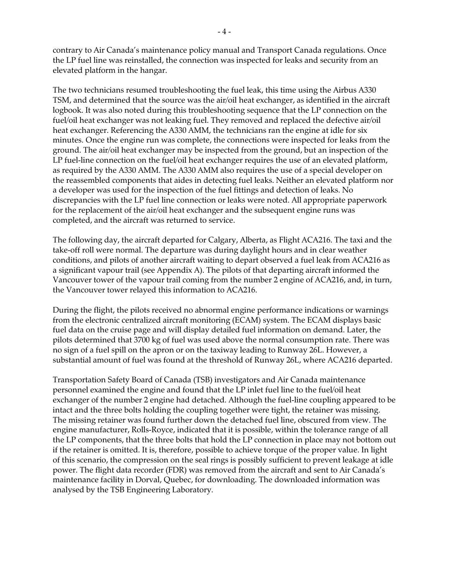contrary to Air Canada's maintenance policy manual and Transport Canada regulations. Once the LP fuel line was reinstalled, the connection was inspected for leaks and security from an elevated platform in the hangar.

The two technicians resumed troubleshooting the fuel leak, this time using the Airbus A330 TSM, and determined that the source was the air/oil heat exchanger, as identified in the aircraft logbook. It was also noted during this troubleshooting sequence that the LP connection on the fuel/oil heat exchanger was not leaking fuel. They removed and replaced the defective air/oil heat exchanger. Referencing the A330 AMM, the technicians ran the engine at idle for six minutes. Once the engine run was complete, the connections were inspected for leaks from the ground. The air/oil heat exchanger may be inspected from the ground, but an inspection of the LP fuel-line connection on the fuel/oil heat exchanger requires the use of an elevated platform, as required by the A330 AMM. The A330 AMM also requires the use of a special developer on the reassembled components that aides in detecting fuel leaks. Neither an elevated platform nor a developer was used for the inspection of the fuel fittings and detection of leaks. No discrepancies with the LP fuel line connection or leaks were noted. All appropriate paperwork for the replacement of the air/oil heat exchanger and the subsequent engine runs was completed, and the aircraft was returned to service.

The following day, the aircraft departed for Calgary, Alberta, as Flight ACA216. The taxi and the take-off roll were normal. The departure was during daylight hours and in clear weather conditions, and pilots of another aircraft waiting to depart observed a fuel leak from ACA216 as a significant vapour trail (see Appendix A). The pilots of that departing aircraft informed the Vancouver tower of the vapour trail coming from the number 2 engine of ACA216, and, in turn, the Vancouver tower relayed this information to ACA216.

During the flight, the pilots received no abnormal engine performance indications or warnings from the electronic centralized aircraft monitoring (ECAM) system. The ECAM displays basic fuel data on the cruise page and will display detailed fuel information on demand. Later, the pilots determined that 3700 kg of fuel was used above the normal consumption rate. There was no sign of a fuel spill on the apron or on the taxiway leading to Runway 26L. However, a substantial amount of fuel was found at the threshold of Runway 26L, where ACA216 departed.

Transportation Safety Board of Canada (TSB) investigators and Air Canada maintenance personnel examined the engine and found that the LP inlet fuel line to the fuel/oil heat exchanger of the number 2 engine had detached. Although the fuel-line coupling appeared to be intact and the three bolts holding the coupling together were tight, the retainer was missing. The missing retainer was found further down the detached fuel line, obscured from view. The engine manufacturer, Rolls-Royce, indicated that it is possible, within the tolerance range of all the LP components, that the three bolts that hold the LP connection in place may not bottom out if the retainer is omitted. It is, therefore, possible to achieve torque of the proper value. In light of this scenario, the compression on the seal rings is possibly sufficient to prevent leakage at idle power. The flight data recorder (FDR) was removed from the aircraft and sent to Air Canada's maintenance facility in Dorval, Quebec, for downloading. The downloaded information was analysed by the TSB Engineering Laboratory.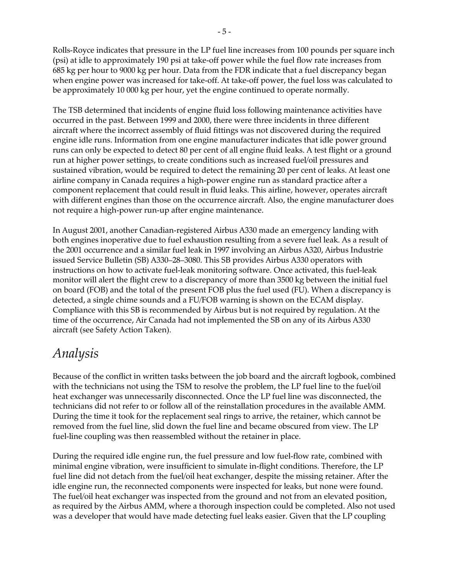Rolls-Royce indicates that pressure in the LP fuel line increases from 100 pounds per square inch (psi) at idle to approximately 190 psi at take-off power while the fuel flow rate increases from 685 kg per hour to 9000 kg per hour. Data from the FDR indicate that a fuel discrepancy began when engine power was increased for take-off. At take-off power, the fuel loss was calculated to be approximately 10 000 kg per hour, yet the engine continued to operate normally.

The TSB determined that incidents of engine fluid loss following maintenance activities have occurred in the past. Between 1999 and 2000, there were three incidents in three different aircraft where the incorrect assembly of fluid fittings was not discovered during the required engine idle runs. Information from one engine manufacturer indicates that idle power ground runs can only be expected to detect 80 per cent of all engine fluid leaks. A test flight or a ground run at higher power settings, to create conditions such as increased fuel/oil pressures and sustained vibration, would be required to detect the remaining 20 per cent of leaks. At least one airline company in Canada requires a high-power engine run as standard practice after a component replacement that could result in fluid leaks. This airline, however, operates aircraft with different engines than those on the occurrence aircraft. Also, the engine manufacturer does not require a high-power run-up after engine maintenance.

In August 2001, another Canadian-registered Airbus A330 made an emergency landing with both engines inoperative due to fuel exhaustion resulting from a severe fuel leak. As a result of the 2001 occurrence and a similar fuel leak in 1997 involving an Airbus A320, Airbus Industrie issued Service Bulletin (SB) A330–28–3080. This SB provides Airbus A330 operators with instructions on how to activate fuel-leak monitoring software. Once activated, this fuel-leak monitor will alert the flight crew to a discrepancy of more than 3500 kg between the initial fuel on board (FOB) and the total of the present FOB plus the fuel used (FU). When a discrepancy is detected, a single chime sounds and a FU/FOB warning is shown on the ECAM display. Compliance with this SB is recommended by Airbus but is not required by regulation. At the time of the occurrence, Air Canada had not implemented the SB on any of its Airbus A330 aircraft (see Safety Action Taken).

## *Analysis*

Because of the conflict in written tasks between the job board and the aircraft logbook, combined with the technicians not using the TSM to resolve the problem, the LP fuel line to the fuel/oil heat exchanger was unnecessarily disconnected. Once the LP fuel line was disconnected, the technicians did not refer to or follow all of the reinstallation procedures in the available AMM. During the time it took for the replacement seal rings to arrive, the retainer, which cannot be removed from the fuel line, slid down the fuel line and became obscured from view. The LP fuel-line coupling was then reassembled without the retainer in place.

During the required idle engine run, the fuel pressure and low fuel-flow rate, combined with minimal engine vibration, were insufficient to simulate in-flight conditions. Therefore, the LP fuel line did not detach from the fuel/oil heat exchanger, despite the missing retainer. After the idle engine run, the reconnected components were inspected for leaks, but none were found. The fuel/oil heat exchanger was inspected from the ground and not from an elevated position, as required by the Airbus AMM, where a thorough inspection could be completed. Also not used was a developer that would have made detecting fuel leaks easier. Given that the LP coupling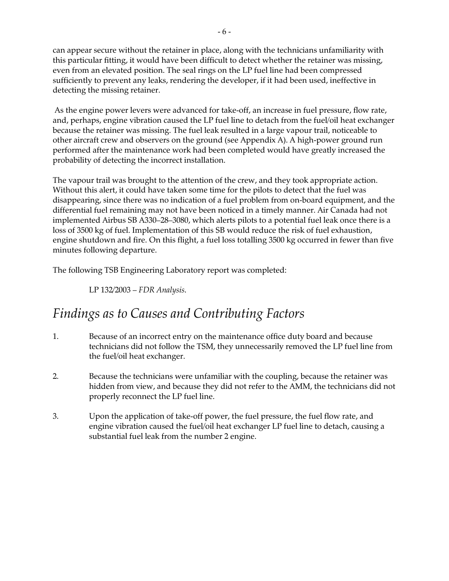can appear secure without the retainer in place, along with the technicians unfamiliarity with this particular fitting, it would have been difficult to detect whether the retainer was missing, even from an elevated position. The seal rings on the LP fuel line had been compressed sufficiently to prevent any leaks, rendering the developer, if it had been used, ineffective in detecting the missing retainer.

 As the engine power levers were advanced for take-off, an increase in fuel pressure, flow rate, and, perhaps, engine vibration caused the LP fuel line to detach from the fuel/oil heat exchanger because the retainer was missing. The fuel leak resulted in a large vapour trail, noticeable to other aircraft crew and observers on the ground (see Appendix A). A high-power ground run performed after the maintenance work had been completed would have greatly increased the probability of detecting the incorrect installation.

The vapour trail was brought to the attention of the crew, and they took appropriate action. Without this alert, it could have taken some time for the pilots to detect that the fuel was disappearing, since there was no indication of a fuel problem from on-board equipment, and the differential fuel remaining may not have been noticed in a timely manner. Air Canada had not implemented Airbus SB A330–28–3080, which alerts pilots to a potential fuel leak once there is a loss of 3500 kg of fuel. Implementation of this SB would reduce the risk of fuel exhaustion, engine shutdown and fire. On this flight, a fuel loss totalling 3500 kg occurred in fewer than five minutes following departure.

The following TSB Engineering Laboratory report was completed:

LP 132/2003 – *FDR Analysis*.

## *Findings as to Causes and Contributing Factors*

- 1. Because of an incorrect entry on the maintenance office duty board and because technicians did not follow the TSM, they unnecessarily removed the LP fuel line from the fuel/oil heat exchanger.
- 2. Because the technicians were unfamiliar with the coupling, because the retainer was hidden from view, and because they did not refer to the AMM, the technicians did not properly reconnect the LP fuel line.
- 3. Upon the application of take-off power, the fuel pressure, the fuel flow rate, and engine vibration caused the fuel/oil heat exchanger LP fuel line to detach, causing a substantial fuel leak from the number 2 engine.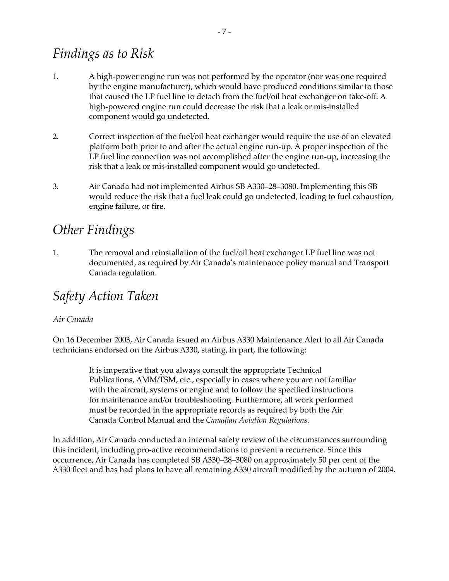## *Findings as to Risk*

- 1. A high-power engine run was not performed by the operator (nor was one required by the engine manufacturer), which would have produced conditions similar to those that caused the LP fuel line to detach from the fuel/oil heat exchanger on take-off. A high-powered engine run could decrease the risk that a leak or mis-installed component would go undetected.
- 2. Correct inspection of the fuel/oil heat exchanger would require the use of an elevated platform both prior to and after the actual engine run-up. A proper inspection of the LP fuel line connection was not accomplished after the engine run-up, increasing the risk that a leak or mis-installed component would go undetected.
- 3. Air Canada had not implemented Airbus SB A330–28–3080. Implementing this SB would reduce the risk that a fuel leak could go undetected, leading to fuel exhaustion, engine failure, or fire.

## *Other Findings*

1. The removal and reinstallation of the fuel/oil heat exchanger LP fuel line was not documented, as required by Air Canada's maintenance policy manual and Transport Canada regulation.

## *Safety Action Taken*

#### *Air Canada*

On 16 December 2003, Air Canada issued an Airbus A330 Maintenance Alert to all Air Canada technicians endorsed on the Airbus A330, stating, in part, the following:

> It is imperative that you always consult the appropriate Technical Publications, AMM/TSM, etc., especially in cases where you are not familiar with the aircraft, systems or engine and to follow the specified instructions for maintenance and/or troubleshooting. Furthermore, all work performed must be recorded in the appropriate records as required by both the Air Canada Control Manual and the *Canadian Aviation Regulations*.

In addition, Air Canada conducted an internal safety review of the circumstances surrounding this incident, including pro-active recommendations to prevent a recurrence. Since this occurrence, Air Canada has completed SB A330–28–3080 on approximately 50 per cent of the A330 fleet and has had plans to have all remaining A330 aircraft modified by the autumn of 2004.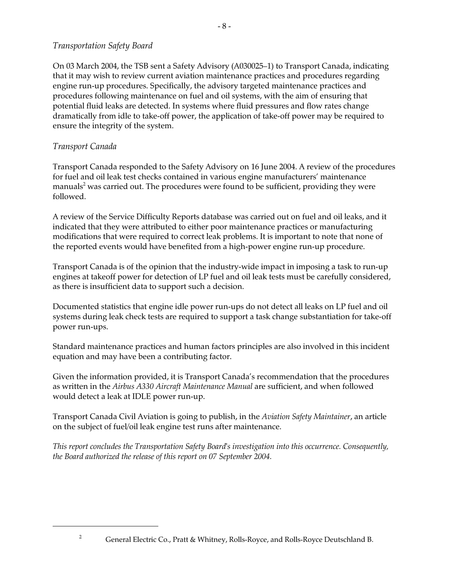#### *Transportation Safety Board*

On 03 March 2004, the TSB sent a Safety Advisory (A030025–1) to Transport Canada, indicating that it may wish to review current aviation maintenance practices and procedures regarding engine run-up procedures. Specifically, the advisory targeted maintenance practices and procedures following maintenance on fuel and oil systems, with the aim of ensuring that potential fluid leaks are detected. In systems where fluid pressures and flow rates change dramatically from idle to take-off power, the application of take-off power may be required to ensure the integrity of the system.

- 8 -

#### *Transport Canada*

Transport Canada responded to the Safety Advisory on 16 June 2004. A review of the procedures for fuel and oil leak test checks contained in various engine manufacturers' maintenance manuals $^2$  was carried out. The procedures were found to be sufficient, providing they were followed.

A review of the Service Difficulty Reports database was carried out on fuel and oil leaks, and it indicated that they were attributed to either poor maintenance practices or manufacturing modifications that were required to correct leak problems. It is important to note that none of the reported events would have benefited from a high-power engine run-up procedure.

Transport Canada is of the opinion that the industry-wide impact in imposing a task to run-up engines at takeoff power for detection of LP fuel and oil leak tests must be carefully considered, as there is insufficient data to support such a decision.

Documented statistics that engine idle power run-ups do not detect all leaks on LP fuel and oil systems during leak check tests are required to support a task change substantiation for take-off power run-ups.

Standard maintenance practices and human factors principles are also involved in this incident equation and may have been a contributing factor.

Given the information provided, it is Transport Canada's recommendation that the procedures as written in the *Airbus A330 Aircraft Maintenance Manual* are sufficient, and when followed would detect a leak at IDLE power run-up.

Transport Canada Civil Aviation is going to publish, in the *Aviation Safety Maintainer*, an article on the subject of fuel/oil leak engine test runs after maintenance.

*This report concludes the Transportation Safety Board's investigation into this occurrence. Consequently, the Board authorized the release of this report on 07 September 2004.*

<sup>&</sup>lt;sup>2</sup> General Electric Co., Pratt & Whitney, Rolls-Royce, and Rolls-Royce Deutschland B.